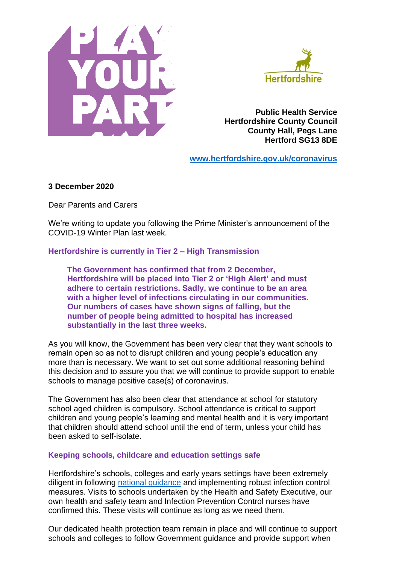



**Public Health Service Hertfordshire County Council County Hall, Pegs Lane Hertford SG13 8DE**

**[www.hertfordshire.gov.uk/coronavirus](http://www.hertfordshire.gov.uk/coronavirus)**

#### **3 December 2020**

Dear Parents and Carers

We're writing to update you following the Prime Minister's announcement of the COVID-19 Winter Plan last week.

**Hertfordshire is currently in Tier 2 – High Transmission**

**The Government has confirmed that from 2 December, Hertfordshire will be placed into Tier 2 or 'High Alert' and must adhere to certain restrictions. Sadly, we continue to be an area with a higher level of infections circulating in our communities. Our numbers of cases have shown signs of falling, but the number of people being admitted to hospital has increased substantially in the last three weeks.**

As you will know, the Government has been very clear that they want schools to remain open so as not to disrupt children and young people's education any more than is necessary. We want to set out some additional reasoning behind this decision and to assure you that we will continue to provide support to enable schools to manage positive case(s) of coronavirus.

The Government has also been clear that attendance at school for statutory school aged children is compulsory. School attendance is critical to support children and young people's learning and mental health and it is very important that children should attend school until the end of term, unless your child has been asked to self-isolate.

#### **Keeping schools, childcare and education settings safe**

Hertfordshire's schools, colleges and early years settings have been extremely diligent in following [national guidance](https://www.gov.uk/government/publications/what-parents-and-carers-need-to-know-about-early-years-providers-schools-and-colleges-during-the-coronavirus-covid-19-outbreak/what-parents-and-carers-need-to-know-about-early-years-providers-schools-and-colleges-in-the-autumn-term) and implementing robust infection control measures. Visits to schools undertaken by the Health and Safety Executive, our own health and safety team and Infection Prevention Control nurses have confirmed this. These visits will continue as long as we need them.

Our dedicated health protection team remain in place and will continue to support schools and colleges to follow Government guidance and provide support when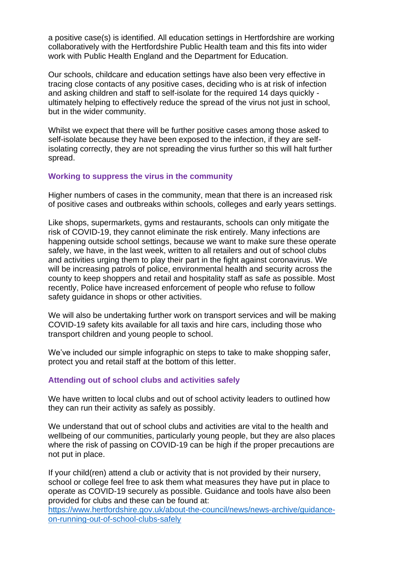a positive case(s) is identified. All education settings in Hertfordshire are working collaboratively with the Hertfordshire Public Health team and this fits into wider work with Public Health England and the Department for Education.

Our schools, childcare and education settings have also been very effective in tracing close contacts of any positive cases, deciding who is at risk of infection and asking children and staff to self-isolate for the required 14 days quickly ultimately helping to effectively reduce the spread of the virus not just in school, but in the wider community.

Whilst we expect that there will be further positive cases among those asked to self-isolate because they have been exposed to the infection, if they are selfisolating correctly, they are not spreading the virus further so this will halt further spread.

### **Working to suppress the virus in the community**

Higher numbers of cases in the community, mean that there is an increased risk of positive cases and outbreaks within schools, colleges and early years settings.

Like shops, supermarkets, gyms and restaurants, schools can only mitigate the risk of COVID-19, they cannot eliminate the risk entirely. Many infections are happening outside school settings, because we want to make sure these operate safely, we have, in the last week, written to all retailers and out of school clubs and activities urging them to play their part in the fight against coronavirus. We will be increasing patrols of police, environmental health and security across the county to keep shoppers and retail and hospitality staff as safe as possible. Most recently, Police have increased enforcement of people who refuse to follow safety guidance in shops or other activities.

We will also be undertaking further work on transport services and will be making COVID-19 safety kits available for all taxis and hire cars, including those who transport children and young people to school.

We've included our simple infographic on steps to take to make shopping safer, protect you and retail staff at the bottom of this letter.

### **Attending out of school clubs and activities safely**

We have written to local clubs and out of school activity leaders to outlined how they can run their activity as safely as possibly.

We understand that out of school clubs and activities are vital to the health and wellbeing of our communities, particularly young people, but they are also places where the risk of passing on COVID-19 can be high if the proper precautions are not put in place.

If your child(ren) attend a club or activity that is not provided by their nursery, school or college feel free to ask them what measures they have put in place to operate as COVID-19 securely as possible. Guidance and tools have also been provided for clubs and these can be found at:

[https://www.hertfordshire.gov.uk/about-the-council/news/news-archive/guidance](https://www.hertfordshire.gov.uk/about-the-council/news/news-archive/guidance-on-running-out-of-school-clubs-safely)[on-running-out-of-school-clubs-safely](https://www.hertfordshire.gov.uk/about-the-council/news/news-archive/guidance-on-running-out-of-school-clubs-safely)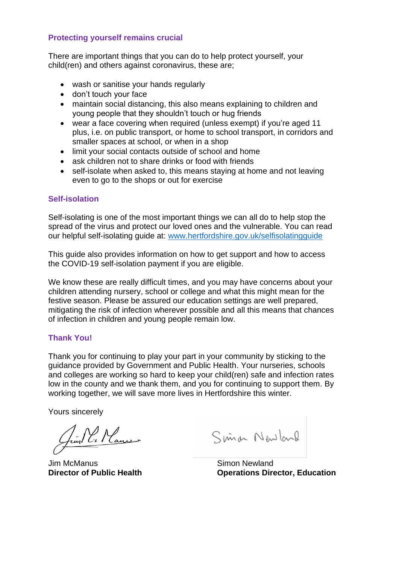# **Protecting yourself remains crucial**

There are important things that you can do to help protect yourself, your child(ren) and others against coronavirus, these are;

- wash or sanitise your hands regularly
- don't touch your face
- maintain social distancing, this also means explaining to children and young people that they shouldn't touch or hug friends
- wear a face covering when required (unless exempt) if you're aged 11 plus, i.e. on public transport, or home to school transport, in corridors and smaller spaces at school, or when in a shop
- limit your social contacts outside of school and home
- ask children not to share drinks or food with friends
- self-isolate when asked to, this means staying at home and not leaving even to go to the shops or out for exercise

## **Self-isolation**

Self-isolating is one of the most important things we can all do to help stop the spread of the virus and protect our loved ones and the vulnerable. You can read our helpful self-isolating guide at: [www.hertfordshire.gov.uk/selfisolatingguide](http://www.hertfordshire.gov.uk/selfisolatingguide)

This guide also provides information on how to get support and how to access the COVID-19 self-isolation payment if you are eligible.

We know these are really difficult times, and you may have concerns about your children attending nursery, school or college and what this might mean for the festive season. Please be assured our education settings are well prepared, mitigating the risk of infection wherever possible and all this means that chances of infection in children and young people remain low.

# **Thank You!**

Thank you for continuing to play your part in your community by sticking to the guidance provided by Government and Public Health. Your nurseries, schools and colleges are working so hard to keep your child(ren) safe and infection rates low in the county and we thank them, and you for continuing to support them. By working together, we will save more lives in Hertfordshire this winter.

Yours sincerely

Juin Pe Manue

Jim McManus Simon Newland

Simon Newland

**Director of Public Health Constrainer Constrainers Director, Education**